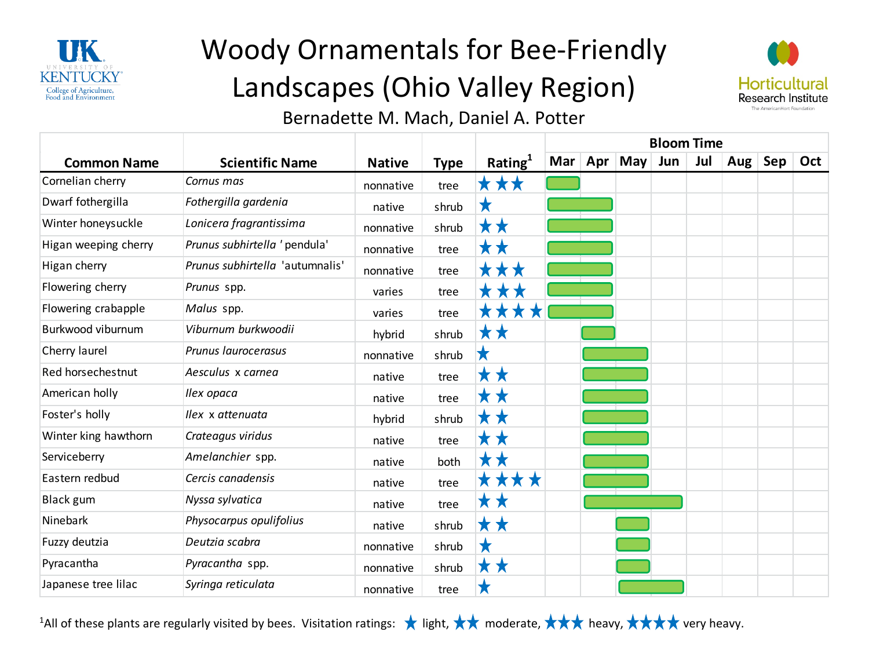

# Woody Ornamentals for Bee-Friendly Landscapes (Ohio Valley Region)



#### Bernadette M. Mach, Daniel A. Potter

|                      |                                 |               |             |                     | <b>Bloom Time</b> |  |                 |     |     |         |     |     |
|----------------------|---------------------------------|---------------|-------------|---------------------|-------------------|--|-----------------|-----|-----|---------|-----|-----|
| <b>Common Name</b>   | <b>Scientific Name</b>          | <b>Native</b> | <b>Type</b> | Rating <sup>1</sup> |                   |  | Mar   Apr   May | Jun | Jul | Aug $ $ | Sep | Oct |
| Cornelian cherry     | Cornus mas                      | nonnative     | tree        | <b>***</b>          |                   |  |                 |     |     |         |     |     |
| Dwarf fothergilla    | Fothergilla gardenia            | native        | shrub       | X                   |                   |  |                 |     |     |         |     |     |
| Winter honeysuckle   | Lonicera fragrantissima         | nonnative     | shrub       | * *                 |                   |  |                 |     |     |         |     |     |
| Higan weeping cherry | Prunus subhirtella ' pendula'   | nonnative     | tree        | <b>* *</b>          |                   |  |                 |     |     |         |     |     |
| Higan cherry         | Prunus subhirtella 'autumnalis' | nonnative     | tree        | XXXX                |                   |  |                 |     |     |         |     |     |
| Flowering cherry     | Prunus spp.                     | varies        | tree        | <b>* * *</b>        |                   |  |                 |     |     |         |     |     |
| Flowering crabapple  | Malus spp.                      | varies        | tree        | ****                |                   |  |                 |     |     |         |     |     |
| Burkwood viburnum    | Viburnum burkwoodii             | hybrid        | shrub       | <b>x x</b>          |                   |  |                 |     |     |         |     |     |
| Cherry laurel        | Prunus laurocerasus             | nonnative     | shrub       |                     |                   |  |                 |     |     |         |     |     |
| Red horsechestnut    | Aesculus x carnea               | native        | tree        | <b>XX</b>           |                   |  |                 |     |     |         |     |     |
| American holly       | Ilex opaca                      | native        | tree        | <b>* *</b>          |                   |  |                 |     |     |         |     |     |
| Foster's holly       | Ilex x attenuata                | hybrid        | shrub       | XX                  |                   |  |                 |     |     |         |     |     |
| Winter king hawthorn | Crateagus viridus               | native        | tree        | M M                 |                   |  |                 |     |     |         |     |     |
| Serviceberry         | Amelanchier spp.                | native        | both        | <b>* *</b>          |                   |  |                 |     |     |         |     |     |
| Eastern redbud       | Cercis canadensis               | native        | tree        | ****                |                   |  |                 |     |     |         |     |     |
| <b>Black gum</b>     | Nyssa sylvatica                 | native        | tree        | <b>x x</b>          |                   |  |                 |     |     |         |     |     |
| Ninebark             | Physocarpus opulifolius         | native        | shrub       | <b>**</b>           |                   |  |                 |     |     |         |     |     |
| Fuzzy deutzia        | Deutzia scabra                  | nonnative     | shrub       | X                   |                   |  |                 |     |     |         |     |     |
| Pyracantha           | Pyracantha spp.                 | nonnative     | shrub       | <b>XX</b>           |                   |  |                 |     |     |         |     |     |
| Japanese tree lilac  | Syringa reticulata              | nonnative     | tree        |                     |                   |  |                 |     |     |         |     |     |

<sup>1</sup>All of these plants are regularly visited by bees. Visitation ratings:  $\star$  light,  $\star\star$  moderate,  $\star\star\star$  heavy,  $\star\star\star\star$  very heavy.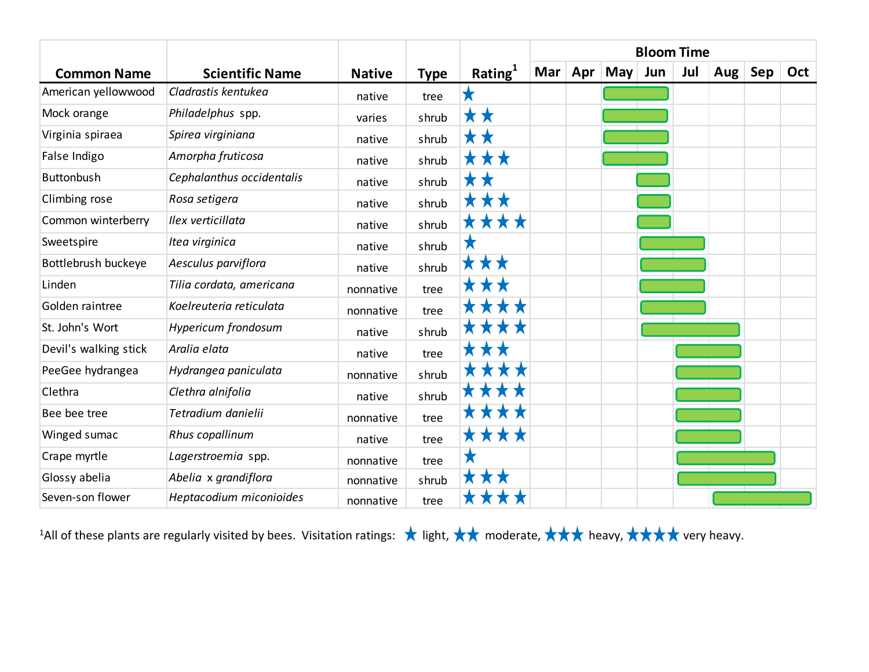|                       |                            |               |             |            | <b>Bloom Time</b> |     |                  |     |     |         |     |     |
|-----------------------|----------------------------|---------------|-------------|------------|-------------------|-----|------------------|-----|-----|---------|-----|-----|
| <b>Common Name</b>    | <b>Scientific Name</b>     | <b>Native</b> | <b>Type</b> | Rating $1$ | Mar               | Apr | May <sub>l</sub> | Jun | Jul | Aug $ $ | Sep | Oct |
| American yellowwood   | Cladrastis kentukea        | native        | tree        |            |                   |     |                  |     |     |         |     |     |
| Mock orange           | Philadelphus spp.          | varies        | shrub       | * *        |                   |     |                  |     |     |         |     |     |
| Virginia spiraea      | Spirea virginiana          | native        | shrub       | X          |                   |     |                  |     |     |         |     |     |
| False Indigo          | Amorpha fruticosa          | native        | shrub       | **         |                   |     |                  |     |     |         |     |     |
| Buttonbush            | Cephalanthus occidentalis  | native        | shrub       | <b>* *</b> |                   |     |                  |     |     |         |     |     |
| Climbing rose         | Rosa setigera              | native        | shrub       |            |                   |     |                  |     |     |         |     |     |
| Common winterberry    | Ilex verticillata          | native        | shrub       | ****       |                   |     |                  |     |     |         |     |     |
| Sweetspire            | Itea virginica             | native        | shrub       | Х          |                   |     |                  |     |     |         |     |     |
| Bottlebrush buckeye   | Aesculus parviflora        | native        | shrub       | <b>***</b> |                   |     |                  |     |     |         |     |     |
| Linden                | Tilia cordata, americana   | nonnative     | tree        |            |                   |     |                  |     |     |         |     |     |
| Golden raintree       | Koelreuteria reticulata    | nonnative     | tree        |            |                   |     |                  |     |     |         |     |     |
| St. John's Wort       | <b>Hypericum frondosum</b> | native        | shrub       |            |                   |     |                  |     |     |         |     |     |
| Devil's walking stick | Aralia elata               | native        | tree        |            |                   |     |                  |     |     |         |     |     |
| PeeGee hydrangea      | Hydrangea paniculata       | nonnative     | shrub       |            |                   |     |                  |     |     |         |     |     |
| Clethra               | Clethra alnifolia          | native        | shrub       |            |                   |     |                  |     |     |         |     |     |
| Bee bee tree          | Tetradium danielii         | nonnative     | tree        |            |                   |     |                  |     |     |         |     |     |
| Winged sumac          | Rhus copallinum            | native        | tree        | <b>XXX</b> |                   |     |                  |     |     |         |     |     |
| Crape myrtle          | Lagerstroemia spp.         | nonnative     | tree        |            |                   |     |                  |     |     |         |     |     |
| Glossy abelia         | Abelia x grandiflora       | nonnative     | shrub       | <b>X</b>   |                   |     |                  |     |     |         |     |     |
| Seven-son flower      | Heptacodium miconioides    | nonnative     | tree        |            |                   |     |                  |     |     |         |     |     |

<sup>1</sup>All of these plants are regularly visited by bees. Visitation ratings:  $\star$  light,  $\star\star$  moderate,  $\star\star\star$  heavy,  $\star\star\star\star$  very heavy.